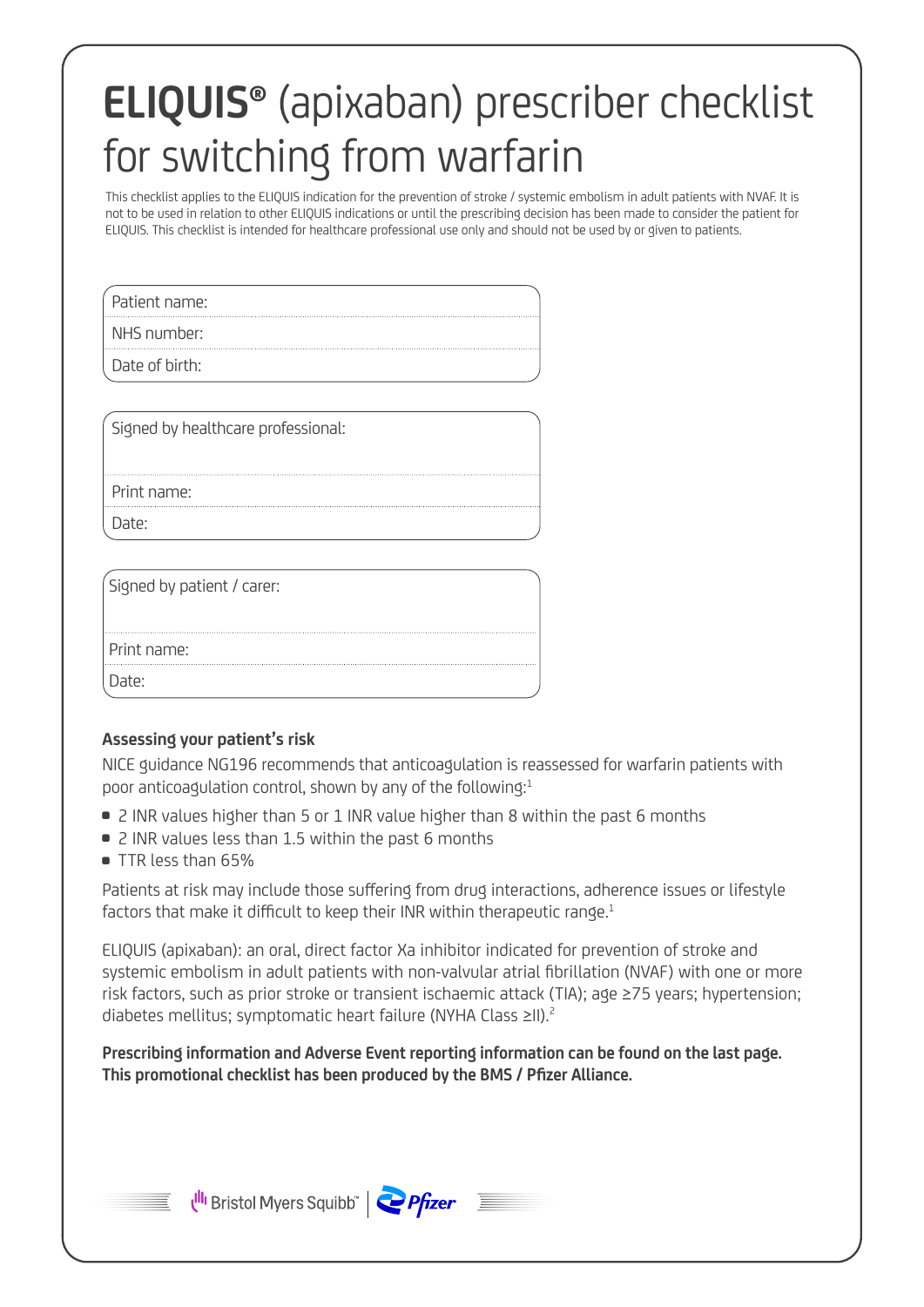# **ELIQUIS®** (apixaban) prescriber checklist for switching from warfarin

This checklist applies to the ELIQUIS indication for the prevention of stroke / systemic embolism in adult patients with NVAF. It is not to be used in relation to other ELIQUIS indications or until the prescribing decision has been made to consider the patient for ELIQUIS. This checklist is intended for healthcare professional use only and should not be used by or given to patients.

Patient name:

NHS number:

Date of birth:

Signed by healthcare professional:

Print name:

Date<sup>.</sup>

Signed by patient / carer:

Print name:

Date:

## **Assessing your patient's risk**

 NICE guidance NG196 recommends that anticoagulation is reassessed for warfarin patients with poor anticoagulation control, shown by any of the following:<sup>1</sup>

- 2 INR values higher than 5 or 1 INR value higher than 8 within the past 6 months
- 2 INR values less than 1.5 within the past 6 months
- $\bullet$  TTR less than 65%

 Patients at risk may include those suffering from drug interactions, adherence issues or lifestyle factors that make it difficult to keep their INR within therapeutic range.<sup>1</sup>

 ELIQUIS (apixaban): an oral, direct factor Xa inhibitor indicated for prevention of stroke and systemic embolism in adult patients with non-valvular atrial fibrillation (NVAF) with one or more risk factors, such as prior stroke or transient ischaemic attack (TIA); age ≥75 years; hypertension; diabetes mellitus; symptomatic heart failure (NYHA Class ≥II).2

**Prescribing information and Adverse Event reporting information can be found on the last page. This promotional checklist has been produced by the BMS / Pfizer Alliance.**



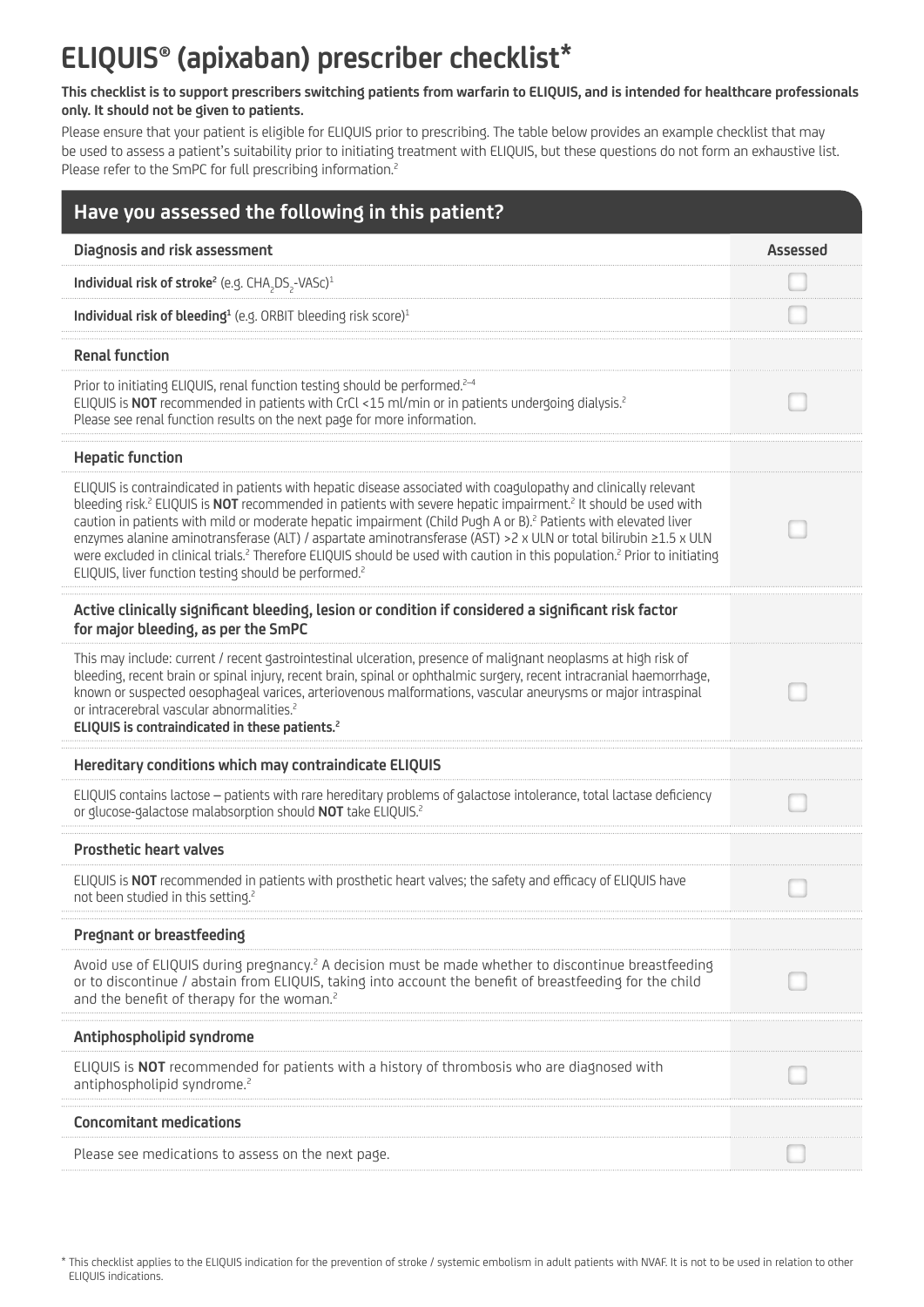## **ELIQUIS® (apixaban) prescriber checklist\***

### **This checklist is to support prescribers switching patients from warfarin to ELIQUIS, and is intended for healthcare professionals only. It should not be given to patients.**

Please ensure that your patient is eligible for ELIQUIS prior to prescribing. The table below provides an example checklist that may be used to assess a patient's suitability prior to initiating treatment with ELIQUIS, but these questions do not form an exhaustive list. Please refer to the SmPC for full prescribing information.<sup>2</sup>

| Have you assessed the following in this patient?                                                                                                                                                                                                                                                                                                                                                                                                                                                                                                                                                                                                                                                                                         |          |
|------------------------------------------------------------------------------------------------------------------------------------------------------------------------------------------------------------------------------------------------------------------------------------------------------------------------------------------------------------------------------------------------------------------------------------------------------------------------------------------------------------------------------------------------------------------------------------------------------------------------------------------------------------------------------------------------------------------------------------------|----------|
| Diagnosis and risk assessment                                                                                                                                                                                                                                                                                                                                                                                                                                                                                                                                                                                                                                                                                                            | Assessed |
| Individual risk of stroke <sup>2</sup> (e.g. CHA <sub>2</sub> DS <sub>2</sub> -VASc) <sup>1</sup>                                                                                                                                                                                                                                                                                                                                                                                                                                                                                                                                                                                                                                        |          |
| Individual risk of bleeding <sup>1</sup> (e.g. ORBIT bleeding risk score) <sup>1</sup>                                                                                                                                                                                                                                                                                                                                                                                                                                                                                                                                                                                                                                                   |          |
| <b>Renal function</b>                                                                                                                                                                                                                                                                                                                                                                                                                                                                                                                                                                                                                                                                                                                    |          |
| Prior to initiating ELIQUIS, renal function testing should be performed. <sup>2-4</sup><br>ELIQUIS is NOT recommended in patients with CrCl <15 ml/min or in patients undergoing dialysis. <sup>2</sup><br>Please see renal function results on the next page for more information.                                                                                                                                                                                                                                                                                                                                                                                                                                                      |          |
| <b>Hepatic function</b>                                                                                                                                                                                                                                                                                                                                                                                                                                                                                                                                                                                                                                                                                                                  |          |
| ELIQUIS is contraindicated in patients with hepatic disease associated with coagulopathy and clinically relevant<br>bleeding risk. <sup>2</sup> ELIQUIS is NOT recommended in patients with severe hepatic impairment. <sup>2</sup> It should be used with<br>caution in patients with mild or moderate hepatic impairment (Child Pugh A or B). <sup>2</sup> Patients with elevated liver<br>enzymes alanine aminotransferase (ALT) / aspartate aminotransferase (AST) > 2 x ULN or total bilirubin ≥1.5 x ULN<br>were excluded in clinical trials. <sup>2</sup> Therefore ELIQUIS should be used with caution in this population. <sup>2</sup> Prior to initiating<br>ELIQUIS, liver function testing should be performed. <sup>2</sup> |          |
| Active clinically significant bleeding, lesion or condition if considered a significant risk factor<br>for major bleeding, as per the SmPC                                                                                                                                                                                                                                                                                                                                                                                                                                                                                                                                                                                               |          |
| This may include: current / recent gastrointestinal ulceration, presence of malignant neoplasms at high risk of<br>bleeding, recent brain or spinal injury, recent brain, spinal or ophthalmic surgery, recent intracranial haemorrhage,<br>known or suspected oesophageal varices, arteriovenous malformations, vascular aneurysms or major intraspinal<br>or intracerebral vascular abnormalities. <sup>2</sup><br>ELIQUIS is contraindicated in these patients. <sup>2</sup>                                                                                                                                                                                                                                                          |          |
| Hereditary conditions which may contraindicate ELIQUIS                                                                                                                                                                                                                                                                                                                                                                                                                                                                                                                                                                                                                                                                                   |          |
| ELIQUIS contains lactose - patients with rare hereditary problems of galactose intolerance, total lactase deficiency<br>or glucose-galactose malabsorption should NOT take ELIQUIS. <sup>2</sup>                                                                                                                                                                                                                                                                                                                                                                                                                                                                                                                                         |          |
| <b>Prosthetic heart valves</b>                                                                                                                                                                                                                                                                                                                                                                                                                                                                                                                                                                                                                                                                                                           |          |
| ELIQUIS is NOT recommended in patients with prosthetic heart valves; the safety and efficacy of ELIQUIS have<br>not been studied in this setting. <sup>2</sup>                                                                                                                                                                                                                                                                                                                                                                                                                                                                                                                                                                           |          |
| Pregnant or breastfeeding                                                                                                                                                                                                                                                                                                                                                                                                                                                                                                                                                                                                                                                                                                                |          |
| Avoid use of ELIQUIS during pregnancy. <sup>2</sup> A decision must be made whether to discontinue breastfeeding<br>or to discontinue / abstain from ELIQUIS, taking into account the benefit of breastfeeding for the child<br>and the benefit of therapy for the woman. <sup>2</sup>                                                                                                                                                                                                                                                                                                                                                                                                                                                   |          |
| Antiphospholipid syndrome                                                                                                                                                                                                                                                                                                                                                                                                                                                                                                                                                                                                                                                                                                                |          |
| ELIQUIS is NOT recommended for patients with a history of thrombosis who are diagnosed with<br>antiphospholipid syndrome. <sup>2</sup>                                                                                                                                                                                                                                                                                                                                                                                                                                                                                                                                                                                                   |          |
| <b>Concomitant medications</b>                                                                                                                                                                                                                                                                                                                                                                                                                                                                                                                                                                                                                                                                                                           |          |
| Please see medications to assess on the next page.                                                                                                                                                                                                                                                                                                                                                                                                                                                                                                                                                                                                                                                                                       |          |

<sup>\*</sup> This checklist applies to the ELIQUIS indication for the prevention of stroke / systemic embolism in adult patients with NVAF. It is not to be used in relation to other ELIQUIS indications.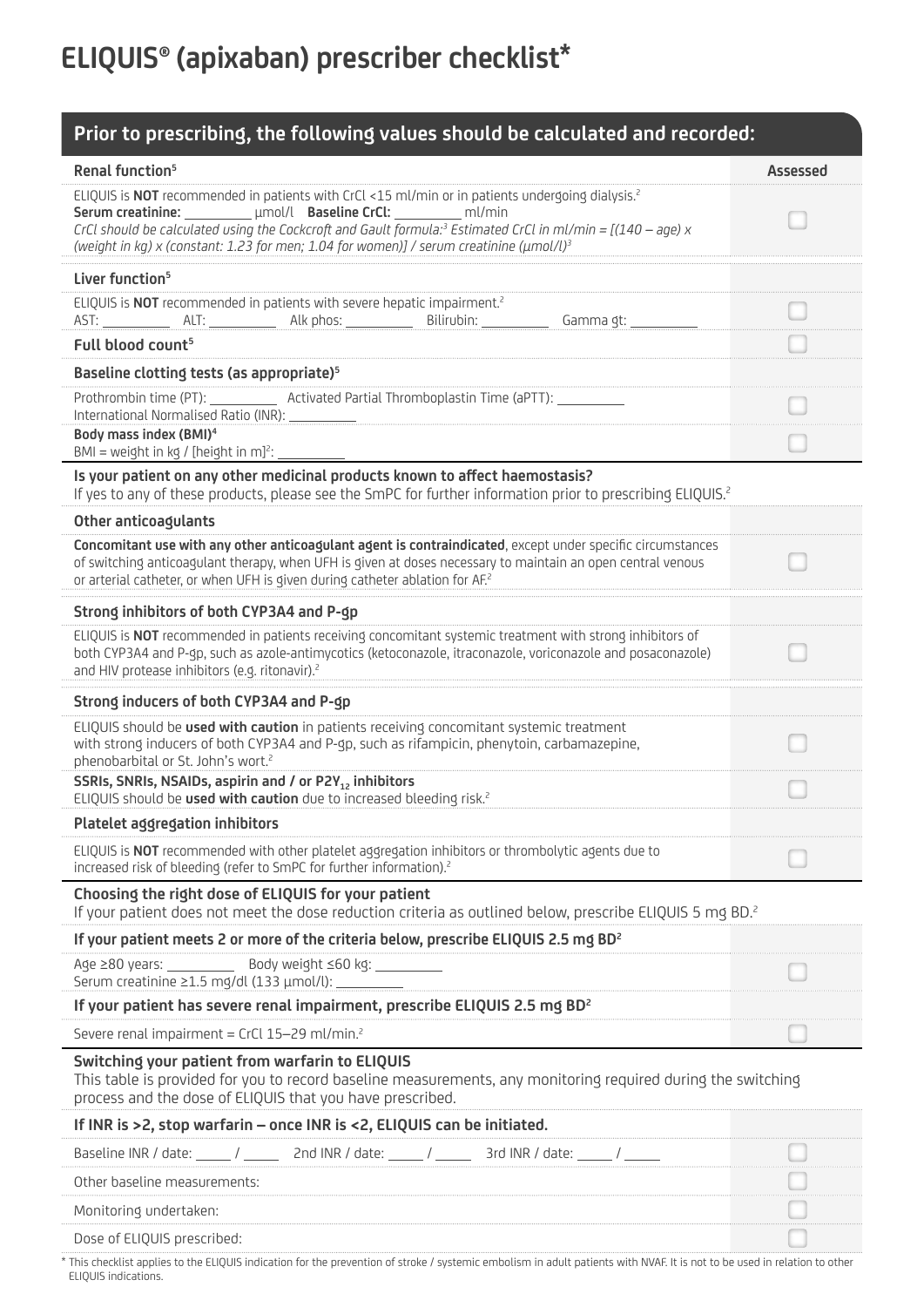## **ELIQUIS® (apixaban) prescriber checklist\***

## **Prior to prescribing, the following values should be calculated and recorded:**

| Renal function <sup>5</sup>                                                                                                                                                                                                                                                                                                                                                                                 | <b>Assessed</b> |  |
|-------------------------------------------------------------------------------------------------------------------------------------------------------------------------------------------------------------------------------------------------------------------------------------------------------------------------------------------------------------------------------------------------------------|-----------------|--|
| ELIQUIS is NOT recommended in patients with CrCl <15 ml/min or in patients undergoing dialysis. <sup>2</sup><br>Serum creatinine: umol/l Baseline CrCl: http://min<br>CrCl should be calculated using the Cockcroft and Gault formula: <sup>3</sup> Estimated CrCl in ml/min = $[(140 - age) \times$<br>(weight in kg) x (constant: 1.23 for men; 1.04 for women)] / serum creatinine (umol/l) <sup>3</sup> |                 |  |
| Liver function <sup>5</sup>                                                                                                                                                                                                                                                                                                                                                                                 |                 |  |
| ELIQUIS is NOT recommended in patients with severe hepatic impairment. <sup>2</sup><br>Bilirubin:<br>Alk phos: $\_$<br>Gamma gt:                                                                                                                                                                                                                                                                            |                 |  |
| Full blood count <sup>5</sup>                                                                                                                                                                                                                                                                                                                                                                               |                 |  |
| Baseline clotting tests (as appropriate) <sup>5</sup>                                                                                                                                                                                                                                                                                                                                                       |                 |  |
| Prothrombin time (PT): _____________ Activated Partial Thromboplastin Time (aPTT): ____<br>International Normalised Ratio (INR): _                                                                                                                                                                                                                                                                          |                 |  |
| Body mass index (BMI) <sup>4</sup><br>BMI = weight in kg / [height in m] <sup>2</sup> :                                                                                                                                                                                                                                                                                                                     |                 |  |
| Is your patient on any other medicinal products known to affect haemostasis?<br>If yes to any of these products, please see the SmPC for further information prior to prescribing ELIQUIS. <sup>2</sup>                                                                                                                                                                                                     |                 |  |
| Other anticoagulants                                                                                                                                                                                                                                                                                                                                                                                        |                 |  |
| Concomitant use with any other anticoagulant agent is contraindicated, except under specific circumstances<br>of switching anticoagulant therapy, when UFH is given at doses necessary to maintain an open central venous<br>or arterial catheter, or when UFH is given during catheter ablation for AF. <sup>2</sup>                                                                                       |                 |  |
| Strong inhibitors of both CYP3A4 and P-gp                                                                                                                                                                                                                                                                                                                                                                   |                 |  |
| ELIQUIS is NOT recommended in patients receiving concomitant systemic treatment with strong inhibitors of<br>both CYP3A4 and P-gp, such as azole-antimycotics (ketoconazole, itraconazole, voriconazole and posaconazole)<br>and HIV protease inhibitors (e.g. ritonavir). <sup>2</sup>                                                                                                                     |                 |  |
| Strong inducers of both CYP3A4 and P-gp                                                                                                                                                                                                                                                                                                                                                                     |                 |  |
| ELIQUIS should be used with caution in patients receiving concomitant systemic treatment<br>with strong inducers of both CYP3A4 and P-gp, such as rifampicin, phenytoin, carbamazepine,<br>phenobarbital or St. John's wort. <sup>2</sup>                                                                                                                                                                   |                 |  |
| SSRIs, SNRIs, NSAIDs, aspirin and / or P2Y <sub>12</sub> inhibitors<br>ELIQUIS should be used with caution due to increased bleeding risk. <sup>2</sup>                                                                                                                                                                                                                                                     |                 |  |
| Platelet aggregation inhibitors                                                                                                                                                                                                                                                                                                                                                                             |                 |  |
| ELIQUIS is <b>NOT</b> recommended with other platelet aggregation inhibitors or thrombolytic agents due to<br>increased risk of bleeding (refer to SmPC for further information). <sup>2</sup>                                                                                                                                                                                                              |                 |  |
| Choosing the right dose of ELIQUIS for your patient<br>If your patient does not meet the dose reduction criteria as outlined below, prescribe ELIQUIS 5 mg BD. <sup>2</sup>                                                                                                                                                                                                                                 |                 |  |
| If your patient meets 2 or more of the criteria below, prescribe ELIQUIS 2.5 mg BD <sup>2</sup>                                                                                                                                                                                                                                                                                                             |                 |  |
|                                                                                                                                                                                                                                                                                                                                                                                                             |                 |  |
| If your patient has severe renal impairment, prescribe ELIQUIS 2.5 mg BD <sup>2</sup>                                                                                                                                                                                                                                                                                                                       |                 |  |
| Severe renal impairment = CrCl 15-29 ml/min. <sup>2</sup>                                                                                                                                                                                                                                                                                                                                                   |                 |  |
| Switching your patient from warfarin to ELIQUIS<br>This table is provided for you to record baseline measurements, any monitoring required during the switching<br>process and the dose of ELIQUIS that you have prescribed.                                                                                                                                                                                |                 |  |
| If INR is >2, stop warfarin - once INR is <2, ELIQUIS can be initiated.                                                                                                                                                                                                                                                                                                                                     |                 |  |
| Baseline INR / date: _____ / _______ 2nd INR / date: _____ / _______ 3rd INR / date: _____ / ______                                                                                                                                                                                                                                                                                                         |                 |  |
| Other baseline measurements:                                                                                                                                                                                                                                                                                                                                                                                |                 |  |
| Monitoring undertaken:                                                                                                                                                                                                                                                                                                                                                                                      |                 |  |
| Dose of ELIQUIS prescribed:                                                                                                                                                                                                                                                                                                                                                                                 |                 |  |

\* This checklist applies to the ELIQUIS indication for the prevention of stroke / systemic embolism in adult patients with NVAF. It is not to be used in relation to other ELIQUIS indications.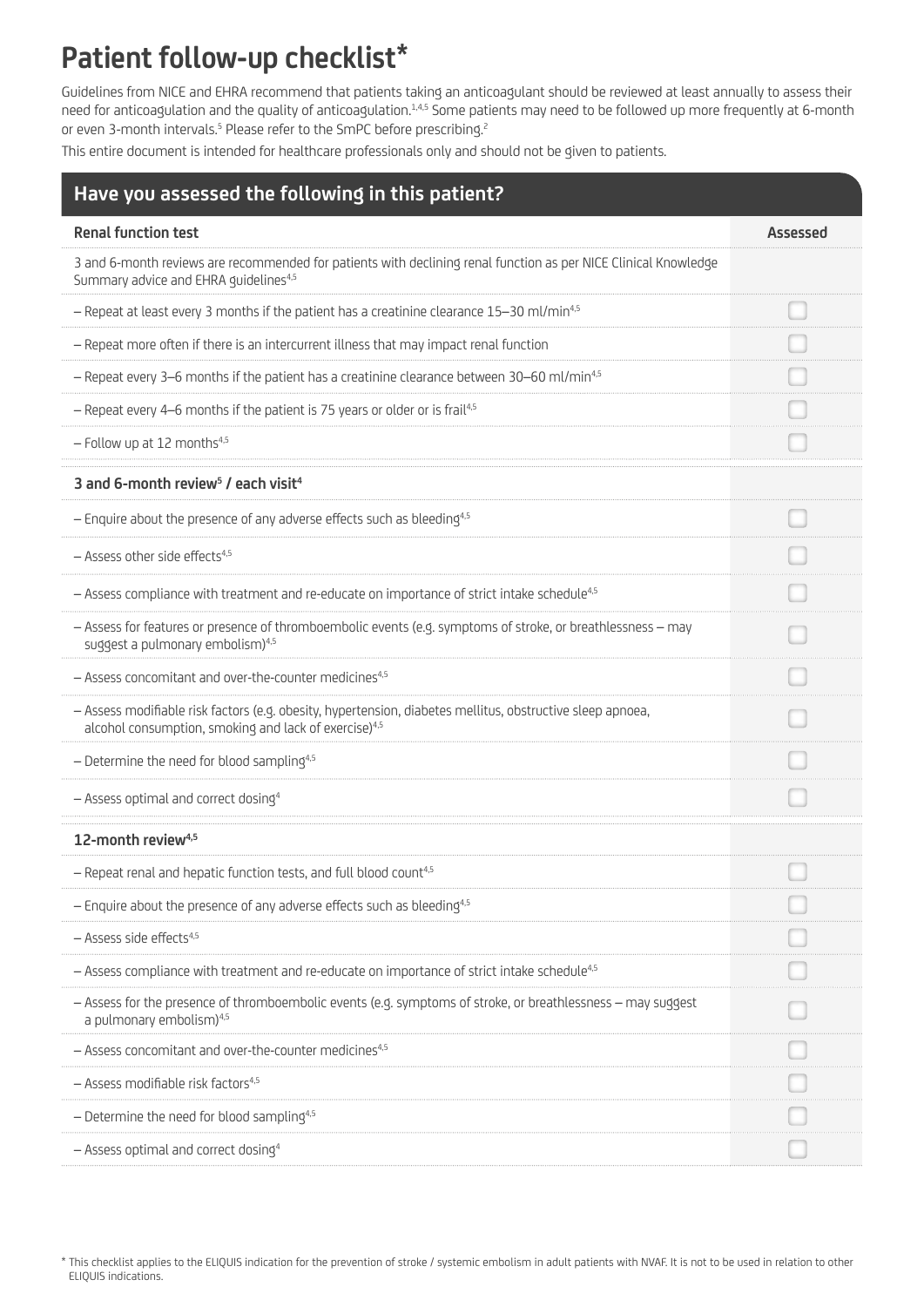## **Patient follow-up checklist\***

Guidelines from NICE and EHRA recommend that patients taking an anticoagulant should be reviewed at least annually to assess their need for anticoagulation and the quality of anticoagulation.<sup>1,4,5</sup> Some patients may need to be followed up more frequently at 6-month or even 3-month intervals.<sup>5</sup> Please refer to the SmPC before prescribing.<sup>2</sup>

This entire document is intended for healthcare professionals only and should not be given to patients.

| Have you assessed the following in this patient?                                                                                                                                |          |
|---------------------------------------------------------------------------------------------------------------------------------------------------------------------------------|----------|
| <b>Renal function test</b>                                                                                                                                                      | Assessed |
| 3 and 6-month reviews are recommended for patients with declining renal function as per NICE Clinical Knowledge<br>Summary advice and EHRA guidelines <sup>4,5</sup>            |          |
| - Repeat at least every 3 months if the patient has a creatinine clearance 15-30 ml/min <sup>4,5</sup>                                                                          |          |
| - Repeat more often if there is an intercurrent illness that may impact renal function                                                                                          |          |
| $-$ Repeat every 3–6 months if the patient has a creatinine clearance between 30–60 ml/min <sup>4,5</sup>                                                                       |          |
| - Repeat every 4-6 months if the patient is 75 years or older or is frail <sup>4,5</sup>                                                                                        |          |
| - Follow up at 12 months <sup>4,5</sup>                                                                                                                                         |          |
| 3 and 6-month review <sup>5</sup> / each visit <sup>4</sup>                                                                                                                     |          |
| - Enquire about the presence of any adverse effects such as bleeding <sup>4,5</sup>                                                                                             |          |
| $-$ Assess other side effects <sup>4,5</sup>                                                                                                                                    |          |
| - Assess compliance with treatment and re-educate on importance of strict intake schedule <sup>4,5</sup>                                                                        |          |
| - Assess for features or presence of thromboembolic events (e.g. symptoms of stroke, or breathlessness - may<br>suggest a pulmonary embolism) <sup>4,5</sup>                    |          |
| - Assess concomitant and over-the-counter medicines <sup>4,5</sup>                                                                                                              |          |
| - Assess modifiable risk factors (e.g. obesity, hypertension, diabetes mellitus, obstructive sleep apnoea,<br>alcohol consumption, smoking and lack of exercise) <sup>4,5</sup> |          |
| - Determine the need for blood sampling <sup>4,5</sup>                                                                                                                          |          |
| - Assess optimal and correct dosing <sup>4</sup>                                                                                                                                |          |
| 12-month review <sup>4,5</sup>                                                                                                                                                  |          |
| — Repeat renal and hepatic function tests, and full blood count <sup>4.3</sup>                                                                                                  |          |
| $-$ Enquire about the presence of any adverse effects such as bleeding <sup>4,5</sup>                                                                                           |          |
| $-$ Assess side effects <sup>4,5</sup>                                                                                                                                          |          |
| - Assess compliance with treatment and re-educate on importance of strict intake schedule <sup>4,5</sup>                                                                        |          |
| - Assess for the presence of thromboembolic events (e.g. symptoms of stroke, or breathlessness - may suggest<br>a pulmonary embolism) <sup>4,5</sup>                            |          |
| - Assess concomitant and over-the-counter medicines <sup>4,5</sup>                                                                                                              |          |
| - Assess modifiable risk factors <sup>4,5</sup>                                                                                                                                 |          |
| $-$ Determine the need for blood sampling <sup>4,5</sup>                                                                                                                        |          |
| - Assess optimal and correct dosing <sup>4</sup>                                                                                                                                |          |

<sup>\*</sup> This checklist applies to the ELIQUIS indication for the prevention of stroke / systemic embolism in adult patients with NVAF. It is not to be used in relation to other ELIQUIS indications.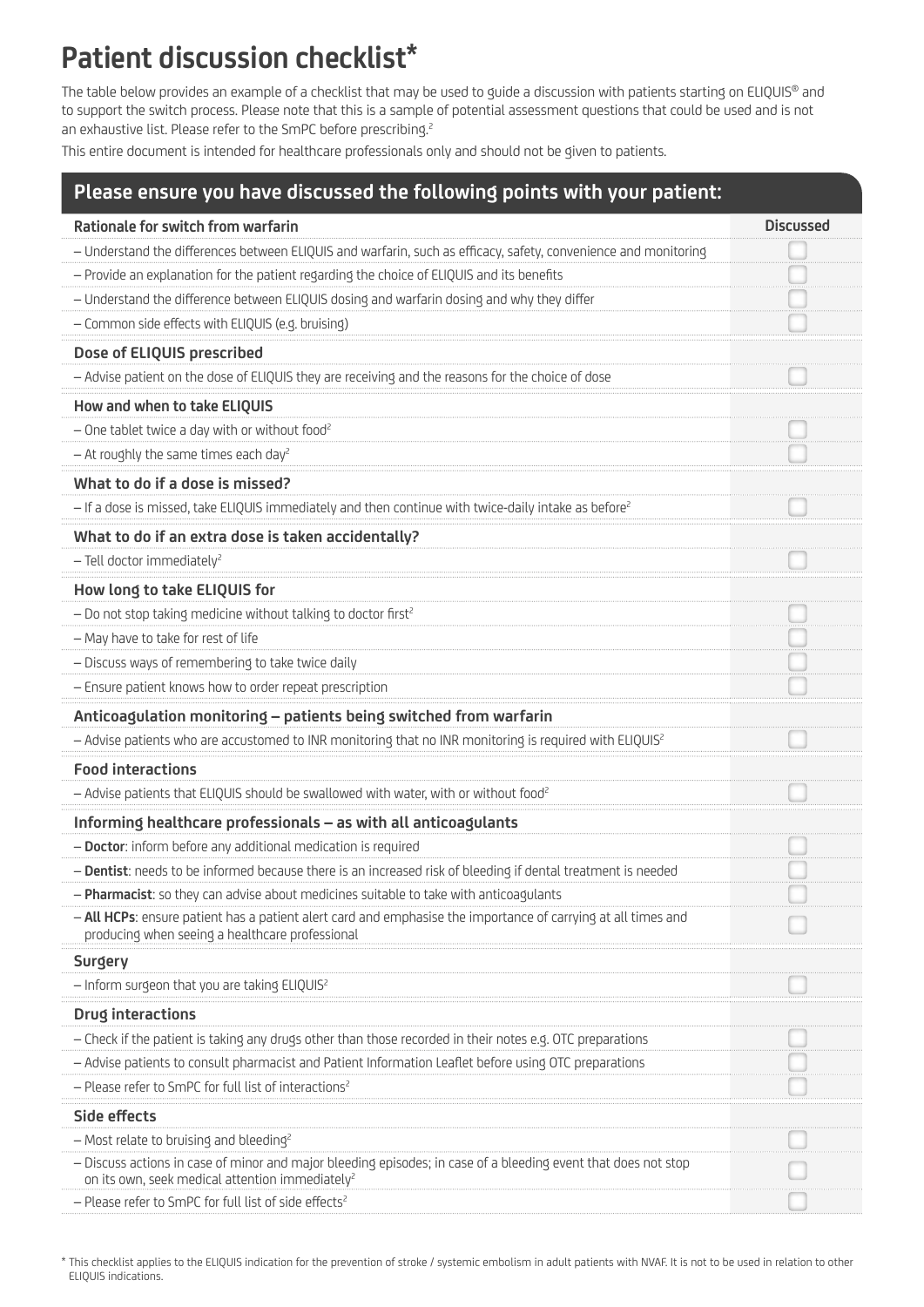## **Patient discussion checklist\***

The table below provides an example of a checklist that may be used to quide a discussion with patients starting on ELIQUIS<sup>®</sup> and to support the switch process. Please note that this is a sample of potential assessment questions that could be used and is not an exhaustive list. Please refer to the SmPC before prescribing.<sup>2</sup>

This entire document is intended for healthcare professionals only and should not be given to patients.

## **Please ensure you have discussed the following points with your patient:**

| <b>Rationale for switch from warfarin</b>                                                                                                                                     | <b>Discussed</b> |
|-------------------------------------------------------------------------------------------------------------------------------------------------------------------------------|------------------|
| - Understand the differences between ELIQUIS and warfarin, such as efficacy, safety, convenience and monitoring                                                               |                  |
| - Provide an explanation for the patient regarding the choice of ELIQUIS and its benefits                                                                                     |                  |
| - Understand the difference between ELIQUIS dosing and warfarin dosing and why they differ                                                                                    |                  |
| - Common side effects with ELIQUIS (e.g. bruising)                                                                                                                            |                  |
| Dose of ELIQUIS prescribed                                                                                                                                                    |                  |
| - Advise patient on the dose of ELIQUIS they are receiving and the reasons for the choice of dose                                                                             |                  |
| How and when to take ELIQUIS                                                                                                                                                  |                  |
| - One tablet twice a day with or without food <sup>2</sup>                                                                                                                    |                  |
| $-$ At roughly the same times each day <sup>2</sup>                                                                                                                           |                  |
| What to do if a dose is missed?                                                                                                                                               |                  |
| - If a dose is missed, take ELIQUIS immediately and then continue with twice-daily intake as before <sup>2</sup>                                                              |                  |
| What to do if an extra dose is taken accidentally?                                                                                                                            |                  |
| $-$ Tell doctor immediately <sup>2</sup>                                                                                                                                      |                  |
| How long to take ELIQUIS for                                                                                                                                                  |                  |
| - Do not stop taking medicine without talking to doctor first <sup>2</sup>                                                                                                    |                  |
| - May have to take for rest of life                                                                                                                                           |                  |
| - Discuss ways of remembering to take twice daily                                                                                                                             |                  |
| - Ensure patient knows how to order repeat prescription                                                                                                                       |                  |
| Anticoagulation monitoring - patients being switched from warfarin                                                                                                            |                  |
| - Advise patients who are accustomed to INR monitoring that no INR monitoring is required with ELIQUIS <sup>2</sup>                                                           |                  |
| <b>Food interactions</b>                                                                                                                                                      |                  |
| - Advise patients that ELIQUIS should be swallowed with water, with or without food <sup>2</sup>                                                                              |                  |
| Informing healthcare professionals - as with all anticoagulants                                                                                                               |                  |
| - Doctor: inform before any additional medication is required                                                                                                                 |                  |
| - Dentist: needs to be informed because there is an increased risk of bleeding if dental treatment is needed                                                                  |                  |
| - Pharmacist: so they can advise about medicines suitable to take with anticoagulants                                                                                         |                  |
| - All HCPs: ensure patient has a patient alert card and emphasise the importance of carrying at all times and<br>producing when seeing a healthcare professional              |                  |
| Surgery                                                                                                                                                                       |                  |
| - Inform surgeon that you are taking ELIQUIS <sup>2</sup>                                                                                                                     |                  |
| Drug interactions                                                                                                                                                             |                  |
| - Check if the patient is taking any drugs other than those recorded in their notes e.g. OTC preparations                                                                     |                  |
| - Advise patients to consult pharmacist and Patient Information Leaflet before using OTC preparations                                                                         |                  |
| - Please refer to SmPC for full list of interactions <sup>2</sup>                                                                                                             |                  |
| Side effects                                                                                                                                                                  |                  |
| - Most relate to bruising and bleeding <sup>2</sup>                                                                                                                           |                  |
| - Discuss actions in case of minor and major bleeding episodes; in case of a bleeding event that does not stop<br>on its own, seek medical attention immediately <sup>2</sup> |                  |
| - Please refer to SmPC for full list of side effects <sup>2</sup>                                                                                                             |                  |

\* This checklist applies to the ELIQUIS indication for the prevention of stroke / systemic embolism in adult patients with NVAF. It is not to be used in relation to other ELIQUIS indications.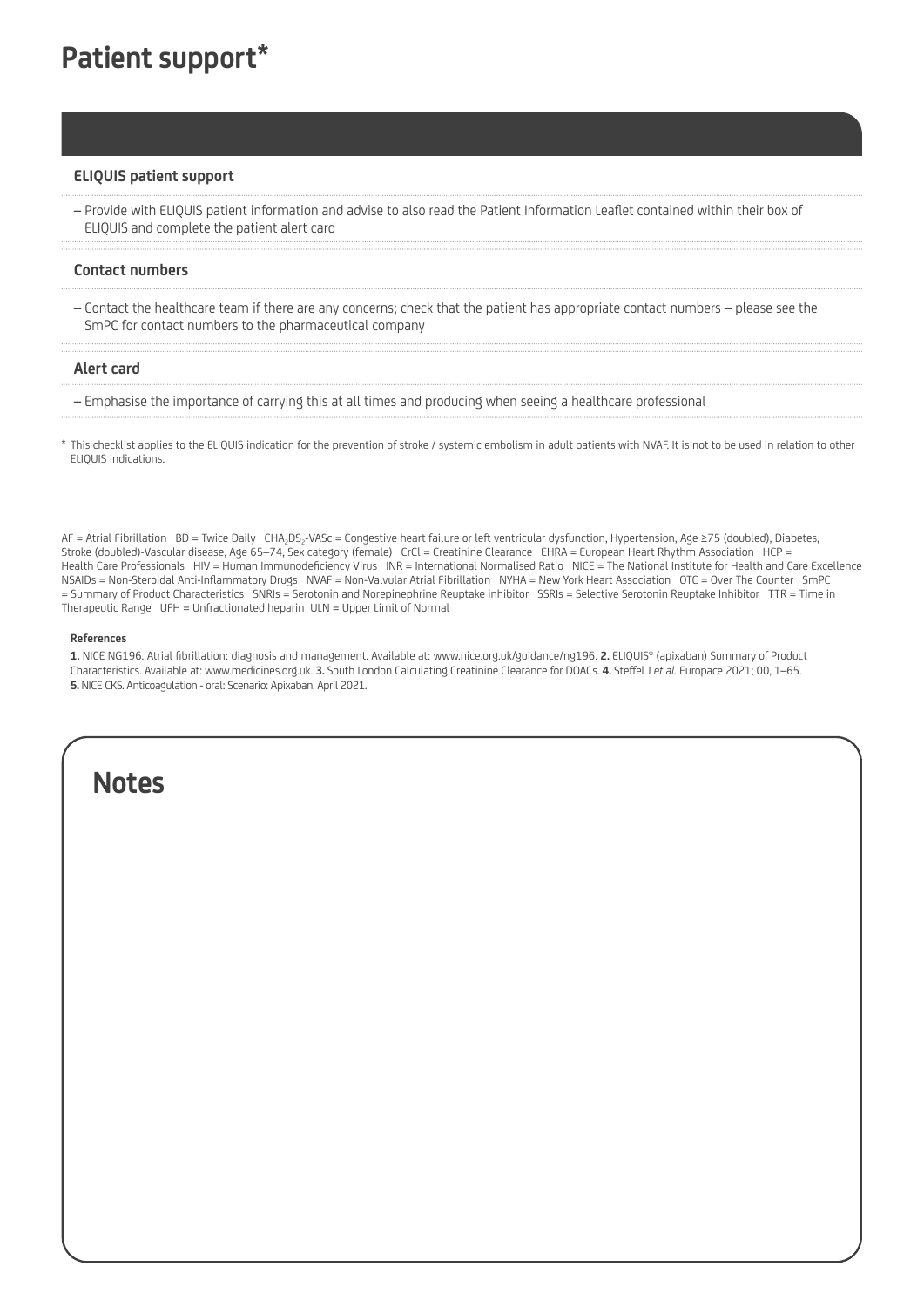### **ELIQUIS patient support**

– Provide with ELIQUIS patient information and advise to also read the Patient Information Leaflet contained within their box of ELIQUIS and complete the patient alert card

#### **Contact numbers**

– Contact the healthcare team if there are any concerns; check that the patient has appropriate contact numbers – please see the SmPC for contact numbers to the pharmaceutical company

#### **Alert card**

– Emphasise the importance of carrying this at all times and producing when seeing a healthcare professional

\* This checklist applies to the ELIQUIS indication for the prevention of stroke / systemic embolism in adult patients with NVAF. It is not to be used in relation to other ELIQUIS indications.

AF = Atrial Fibrillation BD = Twice Daily CHA<sub>2</sub>DS<sub>2</sub>-VASc = Congestive heart failure or left ventricular dysfunction, Hypertension, Age ≥75 (doubled), Diabetes, Stroke (doubled)-Vascular disease, Age 65–74, Sex category (female) CrCl = Creatinine Clearance EHRA = European Heart Rhythm Association HCP = Health Care Professionals HIV = Human Immunodeficiency Virus INR = International Normalised Ratio NICE = The National Institute for Health and Care Excellence NSAIDs = Non-Steroidal Anti-Inflammatory Drugs NVAF = Non-Valvular Atrial Fibrillation NYHA = New York Heart Association OTC = Over The Counter SmPC = Summary of Product Characteristics SNRIs = Serotonin and Norepinephrine Reuptake inhibitor SSRIs = Selective Serotonin Reuptake Inhibitor TTR = Time in Therapeutic Range UFH = Unfractionated heparin ULN = Upper Limit of Normal

#### **References**

 **1.** NICE NG196. Atrial fibrillation: diagnosis and management. Available at: www.nice.org.uk/guidance/ng196. **2.** ELIQUIS® (apixaban) Summary of Product Characteristics. Available at: www.medicines.org.uk. **3.** South London Calculating Creatinine Clearance for DOACs. **4.** Steffel J *et al.* Europace 2021; 00, 1–65. **5.** NICE CKS. Anticoagulation - oral: Scenario: Apixaban. April 2021.

## **Notes**